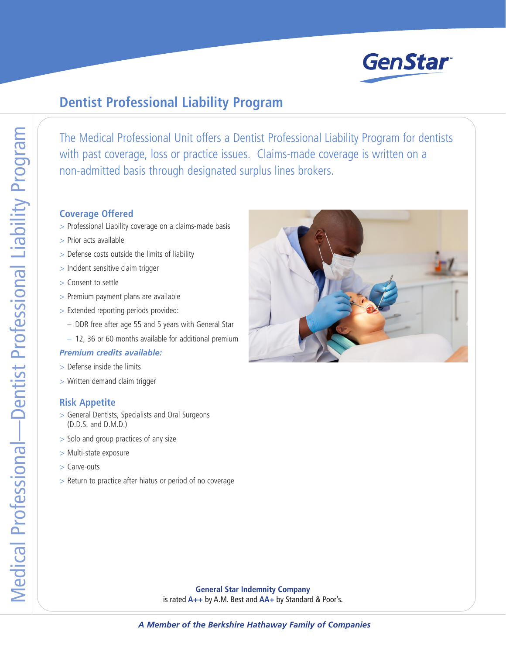

## **Dentist Professional Liability Program**

The Medical Professional Unit offers a Dentist Professional Liability Program for dentists with past coverage, loss or practice issues. Claims-made coverage is written on a non-admitted basis through designated surplus lines brokers.

## **Coverage Offered**

- > Professional Liability coverage on a claims-made basis
- > Prior acts available
- > Defense costs outside the limits of liability
- > Incident sensitive claim trigger
- > Consent to settle
- > Premium payment plans are available
- > Extended reporting periods provided:
	- DDR free after age 55 and 5 years with General Star
	- 12, 36 or 60 months available for additional premium

## *Premium credits available:*

- > Defense inside the limits
- > Written demand claim trigger

## **Risk Appetite**

- > General Dentists, Specialists and Oral Surgeons (D.D.S. and D.M.D.)
- > Solo and group practices of any size
- > Multi-state exposure
- > Carve-outs
- > Return to practice after hiatus or period of no coverage



**General Star Indemnity Company** is rated **A++** by A.M. Best and **AA+** by Standard & Poor's.